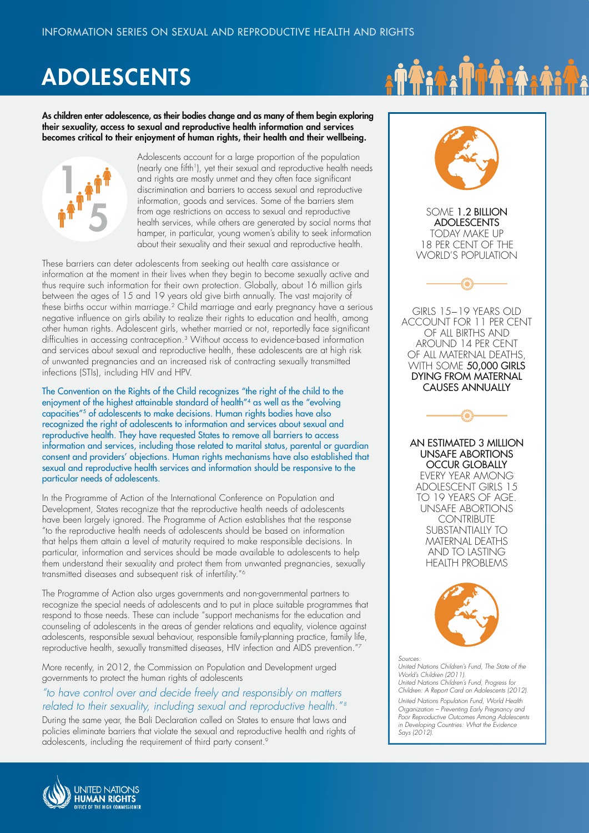# ADOLESCENTS

As children enter adolescence, as their bodies change and as many of them begin exploring their sexuality, access to sexual and reproductive health information and services becomes critical to their enjoyment of human rights, their health and their wellbeing.



Adolescents account for a large proportion of the population (nearly one fifth<sup>1</sup>), yet their sexual and reproductive health needs and rights are mostly unmet and they often face significant discrimination and barriers to access sexual and reproductive information, goods and services. Some of the barriers stem from age restrictions on access to sexual and reproductive health services, while others are generated by social norms that hamper, in particular, young women's ability to seek information about their sexuality and their sexual and reproductive health.

These barriers can deter adolescents from seeking out health care assistance or information at the moment in their lives when they begin to become sexually active and thus require such information for their own protection. Globally, about 16 million girls between the ages of 15 and 19 years old give birth annually. The vast majority of these births occur within marriage.<sup>2</sup> Child marriage and early pregnancy have a serious negative influence on girls ability to realize their rights to education and health, among other human rights. Adolescent girls, whether married or not, reportedly face significant difficulties in accessing contraception.3 Without access to evidence-based information and services about sexual and reproductive health, these adolescents are at high risk of unwanted pregnancies and an increased risk of contracting sexually transmitted infections (STIs), including HIV and HPV.

The Convention on the Rights of the Child recognizes "the right of the child to the enjoyment of the highest attainable standard of health"<sup>4</sup> as well as the "evolving capacities"5 of adolescents to make decisions. Human rights bodies have also recognized the right of adolescents to information and services about sexual and reproductive health. They have requested States to remove all barriers to access information and services, including those related to marital status, parental or guardian consent and providers' objections. Human rights mechanisms have also established that sexual and reproductive health services and information should be responsive to the particular needs of adolescents.

In the Programme of Action of the International Conference on Population and Development, States recognize that the reproductive health needs of adolescents have been largely ignored. The Programme of Action establishes that the response "to the reproductive health needs of adolescents should be based on information that helps them attain a level of maturity required to make responsible decisions. In particular, information and services should be made available to adolescents to help them understand their sexuality and protect them from unwanted pregnancies, sexually transmitted diseases and subsequent risk of infertility."6

The Programme of Action also urges governments and non-governmental partners to recognize the special needs of adolescents and to put in place suitable programmes that respond to those needs. These can include "support mechanisms for the education and counseling of adolescents in the areas of gender relations and equality, violence against adolescents, responsible sexual behaviour, responsible family-planning practice, family life, reproductive health, sexually transmitted diseases, HIV infection and AIDS prevention."7

More recently, in 2012, the Commission on Population and Development urged governments to protect the human rights of adolescents

#### *"to have control over and decide freely and responsibly on matters related to their sexuality, including sexual and reproductive health." 8*

During the same year, the Bali Declaration called on States to ensure that laws and policies eliminate barriers that violate the sexual and reproductive health and rights of adolescents, including the requirement of third party consent.9





SOME 1.2 BILLION ADOLESCENTS TODAY MAKE UP 18 PER CENT OF THE WORLD'S POPULATION



GIRLS 15−19 YEARS OLD ACCOUNT FOR 11 PER CENT OF ALL BIRTHS AND AROUND 14 PER CENT OF ALL MATERNAL DEATHS WITH SOME 50,000 GIRLS DYING FROM MATERNAL CAUSES ANNUALLY



AN ESTIMATED 3 MILLION UNSAFE ABORTIONS OCCUR GLOBALLY EVERY YEAR AMONG ADOLESCENT GIRLS 15 TO 19 YEARS OF AGE. UNSAFE ABORTIONS **CONTRIBUTE** SUBSTANTIALLY TO MATERNAL DEATHS AND TO LASTING HEALTH PROBLEMS



*Sources: United Nations Children's Fund, The State of the World's Children (2011). United Nations Children's Fund, Progress for Children: A Report Card on Adolescents (2012). United Nations Population Fund, World Health Organization – Preventing Early Pregnancy and Poor Reproductive Outcomes Among Adolescents in Developing Countries: What the Evidence Says (2012).* 

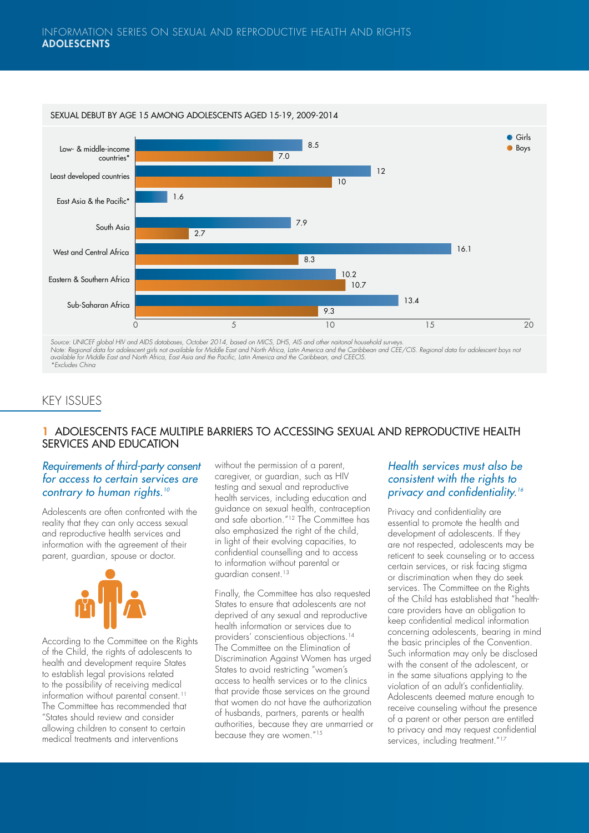

Source: UNICEF global HIV and AIDS databases, October 2014, based on MICS, DHS, AIS and other naitonal household surveys.<br>Note: Regional data for adolescent girls not available for Middle East and North Africa, Latin Ameri

# KEY ISSUES

#### 1 ADOLESCENTS FACE MULTIPLE BARRIERS TO ACCESSING SEXUAL AND REPRODUCTIVE HEALTH SERVICES AND EDUCATION

#### *Requirements of third-party consent for access to certain services are contrary to human rights.10*

Adolescents are often confronted with the reality that they can only access sexual and reproductive health services and information with the agreement of their parent, guardian, spouse or doctor.



According to the Committee on the Rights of the Child, the rights of adolescents to health and development require States to establish legal provisions related to the possibility of receiving medical information without parental consent.<sup>11</sup> The Committee has recommended that "States should review and consider allowing children to consent to certain medical treatments and interventions

without the permission of a parent, caregiver, or guardian, such as HIV testing and sexual and reproductive health services, including education and guidance on sexual health, contraception and safe abortion."12 The Committee has also emphasized the right of the child, in light of their evolving capacities, to confidential counselling and to access to information without parental or guardian consent.<sup>13</sup>

Finally, the Committee has also requested States to ensure that adolescents are not deprived of any sexual and reproductive health information or services due to providers' conscientious objections.14 The Committee on the Elimination of Discrimination Against Women has urged States to avoid restricting "women's access to health services or to the clinics that provide those services on the ground that women do not have the authorization of husbands, partners, parents or health authorities, because they are unmarried or because they are women."15

### *Health services must also be consistent with the rights to privacy and confidentiality.16*

Privacy and confidentiality are essential to promote the health and development of adolescents. If they are not respected, adolescents may be reticent to seek counseling or to access certain services, or risk facing stigma or discrimination when they do seek services. The Committee on the Rights of the Child has established that "healthcare providers have an obligation to keep confidential medical information concerning adolescents, bearing in mind the basic principles of the Convention. Such information may only be disclosed with the consent of the adolescent, or in the same situations applying to the violation of an adult's confidentiality. Adolescents deemed mature enough to receive counseling without the presence of a parent or other person are entitled to privacy and may request confidential services, including treatment."<sup>17</sup>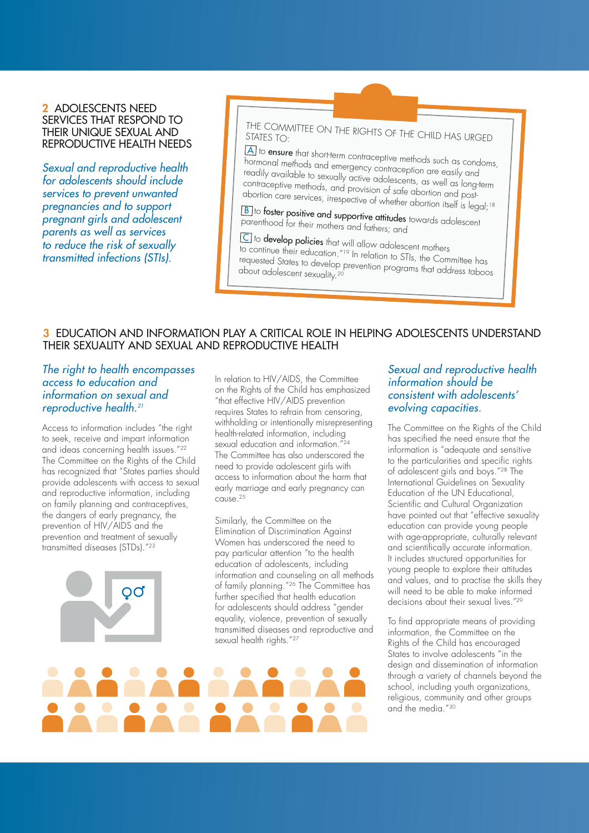#### 2 ADOLESCENTS NEED SERVICES THAT RESPOND TO THEIR UNIQUE SEXUAL AND REPRODUCTIVE HEALTH NEEDS

*Sexual and reproductive health for adolescents should include services to prevent unwanted pregnancies and to support pregnant girls and adolescent parents as well as services to reduce the risk of sexually transmitted infections (STIs).* 

THE COMMITTEE ON THE RIGHTS OF THE CHILD HAS URGED<br>STATES TO:

<sup>A</sup> to ensure that short-term contraceptive methods such as condoms, hormonal methods and emergency contraception are easily and readily available to sexually active adolescents, as well as long-term contraceptive methods, and provision of safe abortion and postabortion care services, irrespective of whether abortion itself is legal;<sup>18</sup>

<u>B</u> to **foster positive and supportive attitudes** towards adolescent<br>parenthood for their mothers of the diffusion of adolescent parenthood for their mothers and fathers; and

<sup>C</sup> to develop policies that will allow adolescent mothers to continue their education."<sup>19</sup> In relation to STIs, the Committee has<br>requested States to develop prevention programs that address taboo<br>about adolescent sexuality.<sup>20</sup> requested States to develop prevention to 311s, the Committee has<br>about adolescent sexuality.<sup>20</sup>

#### 3 EDUCATION AND INFORMATION PLAY A CRITICAL ROLE IN HELPING ADOLESCENTS UNDERSTAND THEIR SEXUALITY AND SEXUAL AND REPRODUCTIVE HEALTH

#### *The right to health encompasses access to education and information on sexual and reproductive health.21*

Access to information includes "the right to seek, receive and impart information and ideas concerning health issues."22 The Committee on the Rights of the Child has recognized that "States parties should provide adolescents with access to sexual and reproductive information, including on family planning and contraceptives, the dangers of early pregnancy, the prevention of HIV/AIDS and the prevention and treatment of sexually transmitted diseases (STDs)."23



In relation to HIV/AIDS, the Committee on the Rights of the Child has emphasized "that effective HIV/AIDS prevention requires States to refrain from censoring, withholding or intentionally misrepresenting Withholding of microscopers, sexual education and information." The Committee has also underscored the need to provide adolescent girls with access to information about the harm that early marriage and early pregnancy can cause.25

Similarly, the Committee on the Elimination of Discrimination Against Women has underscored the need to pay particular attention "to the health education of adolescents, including information and counseling on all methods of family planning."26 The Committee has further specified that health education for adolescents should address "gender equality, violence, prevention of sexually transmitted diseases and reproductive and sexual health rights."<sup>27</sup>

#### *Sexual and reproductive health information should be consistent with adolescents' evolving capacities.*

The Committee on the Rights of the Child has specified the need ensure that the information is "adequate and sensitive to the particularities and specific rights of adolescent girls and boys."28 The International Guidelines on Sexuality Education of the UN Educational, Scientific and Cultural Organization have pointed out that "effective sexuality education can provide young people with age-appropriate, culturally relevant and scientifically accurate information. It includes structured opportunities for young people to explore their attitudes and values, and to practise the skills they will need to be able to make informed decisions about their sexual lives."29

To find appropriate means of providing information, the Committee on the Rights of the Child has encouraged States to involve adolescents "in the design and dissemination of information through a variety of channels beyond the school, including youth organizations, religious, community and other groups and the media."30